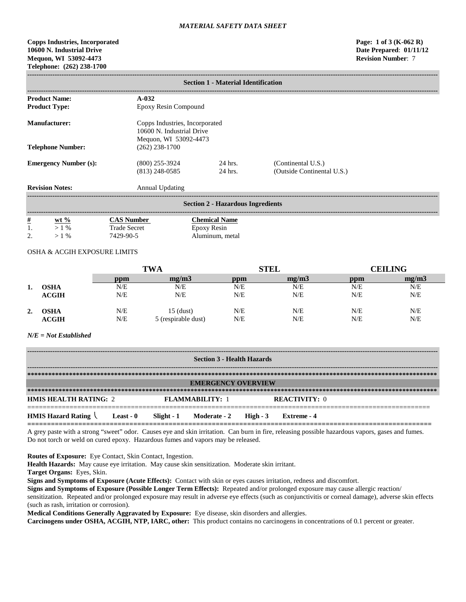# **Copps Industries, Incorporated Page: 1 of 3 (K-062 R) 10600 N. Industrial Drive Date Prepared**: **01/11/12 Mequon, WI 53092-4473 Telephone: (262) 238-1700**

| <b>Section 1 - Material Identification</b> |                                                                                      |                    |                                                  |  |  |  |
|--------------------------------------------|--------------------------------------------------------------------------------------|--------------------|--------------------------------------------------|--|--|--|
| <b>Product Name:</b>                       | $A-0.32$                                                                             |                    |                                                  |  |  |  |
| <b>Product Type:</b>                       | Epoxy Resin Compound                                                                 |                    |                                                  |  |  |  |
| Manufacturer:                              | Copps Industries, Incorporated<br>10600 N. Industrial Drive<br>Mequon, WI 53092-4473 |                    |                                                  |  |  |  |
| <b>Telephone Number:</b>                   | $(262)$ 238-1700                                                                     |                    |                                                  |  |  |  |
| <b>Emergency Number (s):</b>               | $(800)$ 255-3924<br>$(813)$ 248-0585                                                 | 24 hrs.<br>24 hrs. | (Continental U.S.)<br>(Outside Continental U.S.) |  |  |  |
| <b>Revision Notes:</b><br>Annual Updating  |                                                                                      |                    |                                                  |  |  |  |
| <b>Section 2 - Hazardous Ingredients</b>   |                                                                                      |                    |                                                  |  |  |  |

| $\#$     | $ext{w}t\%$     | CAS Number          | <b>Chemical Name</b> |
|----------|-----------------|---------------------|----------------------|
| 1.       | $1 \frac{0}{0}$ | <b>Trade Secret</b> | Epoxy Resin          |
| <u>.</u> | $\frac{0}{0}$   | 7429-90-5           | Aluminum, metal      |

# OSHA & ACGIH EXPOSURE LIMITS

|    |              | <b>TWA</b> |                     | <b>STEL</b> |       | <b>CEILING</b> |       |
|----|--------------|------------|---------------------|-------------|-------|----------------|-------|
|    |              | ppm        | me/m3               | ppm         | me/m3 | ppm            | mg/m3 |
| ı. | <b>OSHA</b>  | N/E        | N/E                 | N/E         | N/E   | N/E            | N/E   |
|    | <b>ACGIH</b> | N/E        | N/E                 | N/E         | N/E   | N/E            | N/E   |
| 2. | OSHA         | N/E        | $15$ (dust)         | N/E         | N/E   | N/E            | N/E   |
|    | <b>ACGIH</b> | N/E        | 5 (respirable dust) | N/E         | N/E   | N/E            | N/E   |

#### *N/E = Not Established*

| <b>Section 3 - Health Hazards</b>              |           |  |                                    |  |                      |  |  |
|------------------------------------------------|-----------|--|------------------------------------|--|----------------------|--|--|
|                                                |           |  |                                    |  |                      |  |  |
|                                                |           |  | <b>EMERGENCY OVERVIEW</b>          |  |                      |  |  |
|                                                |           |  |                                    |  |                      |  |  |
| <b>HMIS HEALTH RATING: 2</b>                   |           |  | <b>FLAMMABILITY: 1</b>             |  | <b>REACTIVITY: 0</b> |  |  |
| <b>HMIS Hazard Rating <math>\langle</math></b> | Least - 0 |  | $Slight - 1$ Moderate - 2 High - 3 |  | Extreme - 4          |  |  |

A grey paste with a strong "sweet" odor. Causes eye and skin irritation. Can burn in fire, releasing possible hazardous vapors, gases and fumes. Do not torch or weld on cured epoxy. Hazardous fumes and vapors may be released.

**Routes of Exposure:** Eye Contact, Skin Contact, Ingestion.

**Health Hazards:** May cause eye irritation. May cause skin sensitization. Moderate skin irritant.

**Target Organs:** Eyes, Skin.

**Signs and Symptoms of Exposure (Acute Effects):** Contact with skin or eyes causes irritation, redness and discomfort.

**Signs and Symptoms of Exposure (Possible Longer Term Effects):** Repeated and/or prolonged exposure may cause allergic reaction/ sensitization. Repeated and/or prolonged exposure may result in adverse eye effects (such as conjunctivitis or corneal damage), adverse skin effects (such as rash, irritation or corrosion).

**Medical Conditions Generally Aggravated by Exposure:** Eye disease, skin disorders and allergies.

**Carcinogens under OSHA, ACGIH, NTP, IARC, other:** This product contains no carcinogens in concentrations of 0.1 percent or greater.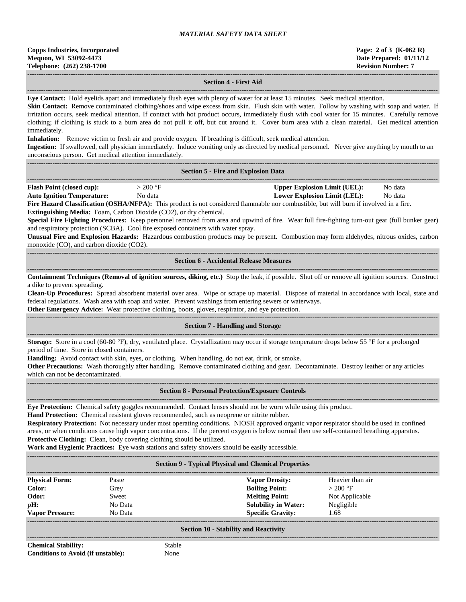| <b>Copps Industries, Incorporated</b> |
|---------------------------------------|
| Mequon, WI 53092-4473                 |
| Telephone: (262) 238-1700             |

#### **------------------------------------------------------------------------------------------------------------------------------------------------------------------------------------ Section 4 - First Aid**

**------------------------------------------------------------------------------------------------------------------------------------------------------------------------------------ Eye Contact:** Hold eyelids apart and immediately flush eyes with plenty of water for at least 15 minutes. Seek medical attention.

**Skin Contact:** Remove contaminated clothing/shoes and wipe excess from skin. Flush skin with water. Follow by washing with soap and water. If irritation occurs, seek medical attention. If contact with hot product occurs, immediately flush with cool water for 15 minutes. Carefully remove clothing; if clothing is stuck to a burn area do not pull it off, but cut around it. Cover burn area with a clean material. Get medical attention immediately.

**Inhalation:** Remove victim to fresh air and provide oxygen. If breathing is difficult, seek medical attention.

**Ingestion:** If swallowed, call physician immediately. Induce vomiting only as directed by medical personnel. Never give anything by mouth to an unconscious person. Get medical attention immediately.

| <b>Section 5 - Fire and Explosion Data</b> |  |
|--------------------------------------------|--|

| $-1$                    |                                     |                               | ------           |
|-------------------------|-------------------------------------|-------------------------------|------------------|
| 'lash<br>Point<br>ההההו | . от<br>200<br>$\sim$ $\sim$ $\sim$ | <b>Inner</b><br>amıt<br>nsinn | No<br>≅data<br>. |

**Auto Ignition Temperature:** No data **Lower Explosion Limit (LEL):** No data

**Fire Hazard Classification (OSHA/NFPA):** This product is not considered flammable nor combustible, but will burn if involved in a fire.

**Extinguishing Media:** Foam, Carbon Dioxide (CO2), or dry chemical.

**Special Fire Fighting Procedures:** Keep personnel removed from area and upwind of fire. Wear full fire-fighting turn-out gear (full bunker gear) and respiratory protection (SCBA). Cool fire exposed containers with water spray.

**Unusual Fire and Explosion Hazards:** Hazardous combustion products may be present. Combustion may form aldehydes, nitrous oxides, carbon monoxide (CO), and carbon dioxide (CO2).

**------------------------------------------------------------------------------------------------------------------------------------------------------------------------------------ Section 6 - Accidental Release Measures**

**------------------------------------------------------------------------------------------------------------------------------------------------------------------------------------ Containment Techniques (Removal of ignition sources, diking, etc.)** Stop the leak, if possible. Shut off or remove all ignition sources. Construct a dike to prevent spreading.

**Clean-Up Procedures:** Spread absorbent material over area. Wipe or scrape up material. Dispose of material in accordance with local, state and federal regulations. Wash area with soap and water. Prevent washings from entering sewers or waterways.

**Other Emergency Advice:** Wear protective clothing, boots, gloves, respirator, and eye protection.

#### ------------------------------------------------------------------------------------------------------------------------------------------------------------------------------------ **Section 7 - Handling and Storage**

**------------------------------------------------------------------------------------------------------------------------------------------------------------------------------------ Storage:** Store in a cool (60-80 °F), dry, ventilated place. Crystallization may occur if storage temperature drops below 55 °F for a prolonged period of time. Store in closed containers.

**Handling:** Avoid contact with skin, eyes, or clothing. When handling, do not eat, drink, or smoke.

**Other Precautions:** Wash thoroughly after handling. Remove contaminated clothing and gear. Decontaminate. Destroy leather or any articles which can not be decontaminated.

#### **------------------------------------------------------------------------------------------------------------------------------------------------------------------------------------ Section 8 - Personal Protection/Exposure Controls**

**------------------------------------------------------------------------------------------------------------------------------------------------------------------------------------ Eye Protection:** Chemical safety goggles recommended. Contact lenses should not be worn while using this product.

**Hand Protection:** Chemical resistant gloves recommended, such as neoprene or nitrite rubber.

**Respiratory Protection:** Not necessary under most operating conditions. NIOSH approved organic vapor respirator should be used in confined areas, or when conditions cause high vapor concentrations. If the percent oxygen is below normal then use self-contained breathing apparatus. **Protective Clothing:** Clean, body covering clothing should be utilized.

**Work and Hygienic Practices:** Eye wash stations and safety showers should be easily accessible.

#### **------------------------------------------------------------------------------------------------------------------------------------------------------------------------------------ Section 9 - Typical Physical and Chemical Properties**

| <b>Physical Form:</b>  | Paste   | <b>Vapor Density:</b>       | Heavier than air |  |
|------------------------|---------|-----------------------------|------------------|--|
| Color:                 | Grey    | <b>Boiling Point:</b>       | $>200$ °F        |  |
| Odor:                  | Sweet   | <b>Melting Point:</b>       | Not Applicable   |  |
| pH:                    | No Data | <b>Solubility in Water:</b> | Negligible       |  |
| <b>Vapor Pressure:</b> | No Data | <b>Specific Gravity:</b>    | 1.68             |  |
|                        |         |                             |                  |  |

#### **Section 10 - Stability and Reactivity**

**------------------------------------------------------------------------------------------------------------------------------------------------------------------------------------ Chemical Stability:** Stable **Conditions to Avoid (if unstable):** None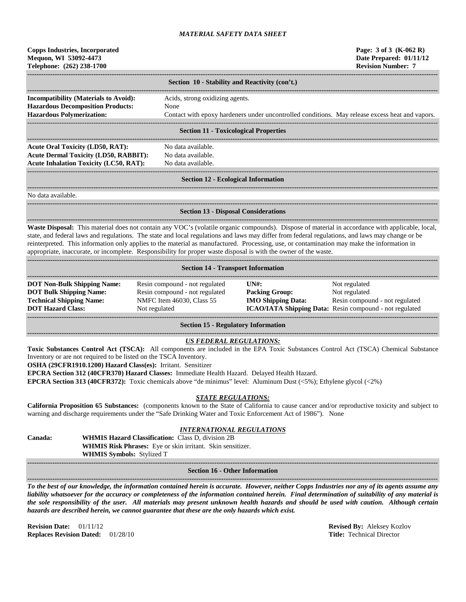| <b>Copps Industries, Incorporated</b> |
|---------------------------------------|
| Mequon, WI 53092-4473                 |
| Telephone: (262) 238-1700             |

|                                                                                          | Section 10 - Stability and Reactivity (con't.)                                                  |  |  |  |
|------------------------------------------------------------------------------------------|-------------------------------------------------------------------------------------------------|--|--|--|
| <b>Incompatibility (Materials to Avoid):</b><br><b>Hazardous Decomposition Products:</b> | Acids, strong oxidizing agents.<br>None                                                         |  |  |  |
| <b>Hazardous Polymerization:</b>                                                         | Contact with epoxy hardeners under uncontrolled conditions. May release excess heat and vapors. |  |  |  |
| Section 11 - Tovicological Properties                                                    |                                                                                                 |  |  |  |

#### **Section 11 - Toxicological Properties**

**------------------------------------------------------------------------------------------------------------------------------------------------------------------------------------** Acute Oral Toxicity (LD50, RAT): No data available. **Acute Dermal Toxicity (LD50, RABBIT):** No data available. Acute Inhalation Toxicity (LC50, RAT): No data available.

**------------------------------------------------------------------------------------------------------------------------------------------------------------------------------------**

# ------------------------------------------------------------------------------------------------------------------------------------------------------------------------------------

#### **Section 12 - Ecological Information**

**------------------------------------------------------------------------------------------------------------------------------------------------------------------------------------**

**------------------------------------------------------------------------------------------------------------------------------------------------------------------------------------**

No data available.

# **Section 13 - Disposal Considerations**

**------------------------------------------------------------------------------------------------------------------------------------------------------------------------------------ Waste Disposal:** This material does not contain any VOC's (volatile organic compounds). Dispose of material in accordance with applicable, local, state, and federal laws and regulations. The state and local regulations and laws may differ from federal regulations, and laws may change or be reinterpreted. This information only applies to the material as manufactured. Processing, use, or contamination may make the information in appropriate, inaccurate, or incomplete. Responsibility for proper waste disposal is with the owner of the waste.

| <b>Section 14 - Transport Information</b>                                                                                           |                                                                                                                |                                                                                                      |                                                                                                                             |  |  |
|-------------------------------------------------------------------------------------------------------------------------------------|----------------------------------------------------------------------------------------------------------------|------------------------------------------------------------------------------------------------------|-----------------------------------------------------------------------------------------------------------------------------|--|--|
| <b>DOT Non-Bulk Shipping Name:</b><br><b>DOT Bulk Shipping Name:</b><br><b>Technical Shipping Name:</b><br><b>DOT Hazard Class:</b> | Resin compound - not regulated<br>Resin compound - not regulated<br>NMFC Item 46030, Class 55<br>Not regulated | $\overline{I}$ $\overline{N}$ $\overline{H}$ :<br><b>Packing Group:</b><br><b>IMO Shipping Data:</b> | Not regulated<br>Not regulated<br>Resin compound - not regulated<br>ICAO/IATA Shipping Data: Resin compound - not regulated |  |  |

**Section 15 - Regulatory Information**

# *US FEDERAL REGULATIONS:*

**Toxic Substances Control Act (TSCA):** All components are included in the EPA Toxic Substances Control Act (TSCA) Chemical Substance Inventory or are not required to be listed on the TSCA Inventory.

**OSHA (29CFR1910.1200) Hazard Class(es):** Irritant. Sensitizer

**EPCRA Section 312 (40CFR370) Hazard Classes:** Immediate Health Hazard. Delayed Health Hazard.

**EPCRA Section 313 (40CFR372):** Toxic chemicals above "de minimus" level: Aluminum Dust (<5%); Ethylene glycol (<2%)

# *STATE REGULATIONS:*

**California Proposition 65 Substances:** (components known to the State of California to cause cancer and/or reproductive toxicity and subject to warning and discharge requirements under the "Safe Drinking Water and Toxic Enforcement Act of 1986"). None

# *INTERNATIONAL REGULATIONS*

**Canada: WHMIS Hazard Classification:** Class D, division 2B **WHMIS Risk Phrases:** Eye or skin irritant. Skin sensitizer. **WHMIS Symbols:** Stylized T **------------------------------------------------------------------------------------------------------------------------------------------------------------------------------------**

#### **Section 16 - Other Information**

**------------------------------------------------------------------------------------------------------------------------------------------------------------------------------------** *To the best of our knowledge, the information contained herein is accurate. However, neither Copps Industries nor any of its agents assume any liability whatsoever for the accuracy or completeness of the information contained herein. Final determination of suitability of any material is the sole responsibility of the user. All materials may present unknown health hazards and should be used with caution. Although certain hazards are described herein, we cannot guarantee that these are the only hazards which exist.*

**Revision Date:** 01/11/12 **Revised By:** Aleksey Kozlov **Replaces Revision Dated:** 01/28/10 **Title:** Technical Director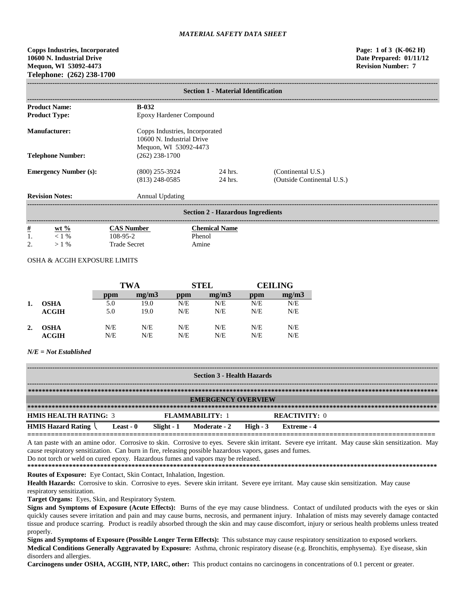**Copps Industries, Incorporated Page: 1 of 3 (K-062 H) 10600 N. Industrial Drive Date Prepared: 01/11/12 Mequon, WI 53092-4473 Revision Number: 7 Telephone: (262) 238-1700**

| <b>Section 1 - Material Identification</b>                            |                                      |                                                             |                                                  |  |  |  |  |
|-----------------------------------------------------------------------|--------------------------------------|-------------------------------------------------------------|--------------------------------------------------|--|--|--|--|
| <b>Product Name:</b>                                                  | $B-0.32$                             |                                                             |                                                  |  |  |  |  |
| <b>Product Type:</b>                                                  | Epoxy Hardener Compound              |                                                             |                                                  |  |  |  |  |
| <b>Manufacturer:</b>                                                  |                                      | Copps Industries, Incorporated<br>10600 N. Industrial Drive |                                                  |  |  |  |  |
| Mequon, WI 53092-4473<br><b>Telephone Number:</b><br>$(262)$ 238-1700 |                                      |                                                             |                                                  |  |  |  |  |
| <b>Emergency Number (s):</b>                                          | $(800)$ 255-3924<br>$(813)$ 248-0585 | 24 hrs.<br>24 hrs.                                          | (Continental U.S.)<br>(Outside Continental U.S.) |  |  |  |  |
| <b>Revision Notes:</b>                                                | Annual Updating                      |                                                             |                                                  |  |  |  |  |
| <b>Section 2 - Hazardous Ingredients</b>                              |                                      |                                                             |                                                  |  |  |  |  |
| $\frac{\#}{1}$<br>wt $\%$                                             | <b>CAS Number</b>                    | <b>Chemical Name</b>                                        |                                                  |  |  |  |  |
| $< 1\%$<br>2.<br>$>1\%$                                               | 108-95-2<br><b>Trade Secret</b>      | Phenol<br>Amine                                             |                                                  |  |  |  |  |

#### OSHA & ACGIH EXPOSURE LIMITS

|    |                  | TWA |       | <b>STEL</b> |       | <b>CEILING</b> |       |
|----|------------------|-----|-------|-------------|-------|----------------|-------|
|    |                  | ppm | mg/m3 | ppm         | mg/m3 | ppm            | mg/m3 |
|    | OSHA             | 5.0 | 19.0  | N/E         | N/E   | N/E            | N/E   |
|    | ACGIH            | 5.0 | 19.0  | N/E         | N/E   | N/E            | N/E   |
| 2. | <b>OSHA</b>      | N/E | N/E   | N/E         | N/E   | N/E            | N/E   |
|    | $\mathbf{ACGIH}$ | N/E | N/E   | N/E         | N/E   | N/E            | N/E   |

# *N/E = Not Established*

| <b>Section 3 - Health Hazards</b> |                     |            |                        |           |                      |  |
|-----------------------------------|---------------------|------------|------------------------|-----------|----------------------|--|
|                                   |                     |            |                        |           |                      |  |
| <b>EMERGENCY OVERVIEW</b>         |                     |            |                        |           |                      |  |
|                                   |                     |            |                        |           |                      |  |
| <b>HMIS HEALTH RATING: 3</b>      |                     |            | <b>FLAMMARILITY: 1</b> |           | <b>REACTIVITY: 0</b> |  |
| <b>HMIS Hazard Rating</b>         | Least - $\mathbf 0$ | Slight - 1 | Moderate - 2           | High $-3$ | Extreme - 4          |  |

**========================================================================================================** A tan paste with an amine odor. Corrosive to skin. Corrosive to eyes. Severe skin irritant. Severe eye irritant. May cause skin sensitization. May cause respiratory sensitization. Can burn in fire, releasing possible hazardous vapors, gases and fumes.

Do not torch or weld on cured epoxy. Hazardous fumes and vapors may be released.

**\*\*\*\*\*\*\*\*\*\*\*\*\*\*\*\*\*\*\*\*\*\*\*\*\*\*\*\*\*\*\*\*\*\*\*\*\*\*\*\*\*\*\*\*\*\*\*\*\*\*\*\*\*\*\*\*\*\*\*\*\*\*\*\*\*\*\*\*\*\*\*\*\*\*\*\*\*\*\*\*\*\*\*\*\*\*\*\*\*\*\*\*\*\*\*\*\*\*\*\*\*\*\*\*\*\*\*\*\*\*\*\*\*\*\*\*\*\* Routes of Exposure:** Eye Contact, Skin Contact, Inhalation, Ingestion.

**Health Hazards:** Corrosive to skin. Corrosive to eyes. Severe skin irritant. Severe eye irritant. May cause skin sensitization. May cause respiratory sensitization.

**Target Organs:** Eyes, Skin, and Respiratory System.

**Signs and Symptoms of Exposure (Acute Effects):** Burns of the eye may cause blindness. Contact of undiluted products with the eyes or skin quickly causes severe irritation and pain and may cause burns, necrosis, and permanent injury. Inhalation of mists may severely damage contacted tissue and produce scarring. Product is readily absorbed through the skin and may cause discomfort, injury or serious health problems unless treated properly.

**Signs and Symptoms of Exposure (Possible Longer Term Effects):** This substance may cause respiratory sensitization to exposed workers. **Medical Conditions Generally Aggravated by Exposure:** Asthma, chronic respiratory disease (e.g. Bronchitis, emphysema). Eye disease, skin disorders and allergies.

**Carcinogens under OSHA, ACGIH, NTP, IARC, other:** This product contains no carcinogens in concentrations of 0.1 percent or greater.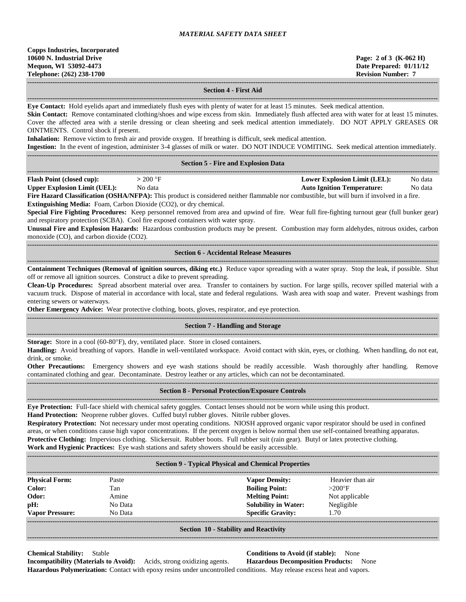**------------------------------------------------------------------------------------------------------------------------------------------------------------------------------------ Section 4 - First Aid**

**------------------------------------------------------------------------------------------------------------------------------------------------------------------------------------ Eye Contact:** Hold eyelids apart and immediately flush eyes with plenty of water for at least 15 minutes. Seek medical attention. **Skin Contact:** Remove contaminated clothing/shoes and wipe excess from skin. Immediately flush affected area with water for at least 15 minutes. Cover the affected area with a sterile dressing or clean sheeting and seek medical attention immediately. DO NOT APPLY GREASES OR OINTMENTS. Control shock if present. **Inhalation:** Remove victim to fresh air and provide oxygen. If breathing is difficult, seek medical attention. **Ingestion:** In the event of ingestion, administer 3-4 glasses of milk or water. DO NOT INDUCE VOMITING. Seek medical attention immediately. **------------------------------------------------------------------------------------------------------------------------------------------------------------------------------------ Section 5 - Fire and Explosion Data ------------------------------------------------------------------------------------------------------------------------------------------------------------------------------------ Flash Point (closed cup):**  $> 200 \text{ °F}$  **Lower Explosion Limit (LEL):** No data **Upper Explosion Limit (UEL):** No data **Auto Ignition Temperature:** No data **Fire Hazard Classification (OSHA/NFPA):** This product is considered neither flammable nor combustible, but will burn if involved in a fire. **Extinguishing Media:** Foam, Carbon Dioxide (CO2), or dry chemical. **Special Fire Fighting Procedures:** Keep personnel removed from area and upwind of fire. Wear full fire-fighting turnout gear (full bunker gear) and respiratory protection (SCBA). Cool fire exposed containers with water spray. **Unusual Fire and Explosion Hazards:** Hazardous combustion products may be present. Combustion may form aldehydes, nitrous oxides, carbon monoxide (CO), and carbon dioxide (CO2). **------------------------------------------------------------------------------------------------------------------------------------------------------------------------------------ Section 6 - Accidental Release Measures ------------------------------------------------------------------------------------------------------------------------------------------------------------------------------------ Containment Techniques (Removal of ignition sources, diking etc.)** Reduce vapor spreading with a water spray. Stop the leak, if possible. Shut off or remove all ignition sources. Construct a dike to prevent spreading. **Clean-Up Procedures:** Spread absorbent material over area. Transfer to containers by suction. For large spills, recover spilled material with a vacuum truck. Dispose of material in accordance with local, state and federal regulations. Wash area with soap and water. Prevent washings from entering sewers or waterways. **Other Emergency Advice:** Wear protective clothing, boots, gloves, respirator, and eye protection. **------------------------------------------------------------------------------------------------------------------------------------------------------------------------------------ Section 7 - Handling and Storage ------------------------------------------------------------------------------------------------------------------------------------------------------------------------------------ Storage:** Store in a cool (60-80°F), dry, ventilated place. Store in closed containers. **Handling:** Avoid breathing of vapors. Handle in well-ventilated workspace. Avoid contact with skin, eyes, or clothing. When handling, do not eat, drink, or smoke. **Other Precautions:** Emergency showers and eye wash stations should be readily accessible. Wash thoroughly after handling. Remove contaminated clothing and gear. Decontaminate. Destroy leather or any articles, which can not be decontaminated. **------------------------------------------------------------------------------------------------------------------------------------------------------------------------------------ Section 8 - Personal Protection/Exposure Controls ------------------------------------------------------------------------------------------------------------------------------------------------------------------------------------ Eye Protection:** Full-face shield with chemical safety goggles. Contact lenses should not be worn while using this product. **Hand Protection:** Neoprene rubber gloves. Cuffed butyl rubber gloves. Nitrile rubber gloves. **Respiratory Protection:** Not necessary under most operating conditions. NIOSH approved organic vapor respirator should be used in confined areas, or when conditions cause high vapor concentrations. If the percent oxygen is below normal then use self-contained breathing apparatus. **Protective Clothing:** Impervious clothing. Slickersuit. Rubber boots. Full rubber suit (rain gear). Butyl or latex protective clothing. **Work and Hygienic Practices:** Eye wash stations and safety showers should be easily accessible. **------------------------------------------------------------------------------------------------------------------------------------------------------------------------------------ Section 9 - Typical Physical and Chemical Properties ------------------------------------------------------------------------------------------------------------------------------------------------------------------------------------ Physical Form:** Paste **Vapor Density:** Heavier than air **Color:** Tan **Tan <b>Boiling Point:**  $>200^{\circ}F$ **Odor:** Amine **Melting Point:** Not applicable **pH:** No Data **Solubility in Water:** Negligible **Vapor Pressure:** No Data **Specific Gravity:** 1.70 **------------------------------------------------------------------------------------------------------------------------------------------------------------------------------------ Section 10 - Stability and Reactivity**

# **------------------------------------------------------------------------------------------------------------------------------------------------------------------------------------**

**Chemical Stability:** Stable **Conditions to Avoid (if stable):** None **Incompatibility (Materials to Avoid):** Acids, strong oxidizing agents. **Hazardous Decomposition Products:** None

**Hazardous Polymerization:** Contact with epoxy resins under uncontrolled conditions. May release excess heat and vapors.